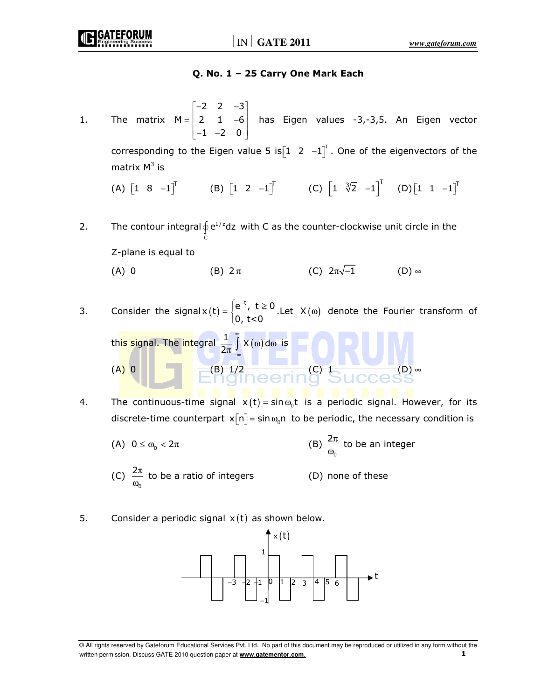### Q. No. 1 – 25 Carry One Mark Each

- 1. The matrix 2 2  $-3$  $M = | 2 1 -6 |$  $1 -2 0$  $\begin{bmatrix} -2 & 2 & -3 \end{bmatrix}$  $=\begin{bmatrix} 2 & 1 & -6 \end{bmatrix}$  $\begin{bmatrix} -1 & -2 & 0 \end{bmatrix}$  has Eigen values -3,-3,5. An Eigen vector corresponding to the Eigen value 5 is $\begin{bmatrix} 1 & 2 & -1 \end{bmatrix}^{\!\top}$  . One of the eigenvectors of the matrix M $^3$  is  $(A)$   $\begin{bmatrix} 1 & 8 & -1 \end{bmatrix}^T$  (B)  $\begin{bmatrix} 1 & 2 & -1 \end{bmatrix}^T$  (C)  $\begin{bmatrix} 1 & \sqrt[3]{2} & -1 \end{bmatrix}^T$  (D) $\begin{bmatrix} 1 & 1 & -1 \end{bmatrix}^T$
- 2. The contour integral  $\oint e^{1/z}$  $\oint_C e^{1/z} dz$  with C as the counter-clockwise unit circle in the  $\int_c$  Z-plane is equal to (A) 0 (B)  $2\pi$  (C)  $2\pi\sqrt{-1}$  (D) ∞
- 3. Consider the signal  $x(t) = \begin{cases} e^{-t}, & t \ge 0 \\ 0, & t \ge 0 \end{cases}$ . 0, t<0  $=\begin{cases} e^{-t}, & t \ge 0 \end{cases}$  $\overline{\mathcal{L}}$ . Let  $X(\omega)$  denote the Fourier transform of

this signal. The integral 
$$
\frac{1}{2\pi} \int_{-\infty}^{\infty} X(\omega) \, d\omega
$$
 is

\n(A) 0

\n(B) 1/2

\n(C) 1

\n(D)  $\infty$ 

\n(E) 1/2

\n(E) 2/1

\n(E) 3/1

- 4. The continuous-time signal  $x(t)$  = sin $\omega_0$ t is a periodic signal. However, for its discrete-time counterpart  $x[n]$  = sin $\omega_0$ n to be periodic, the necessary condition is
- (A)  $0 \le \omega_0 < 2\pi$  (B) 0  $rac{2\pi}{\omega_{0}}$  to be an integer  $(C)$ 0  $\frac{2\pi}{\omega_{0}}$  to be a ratio of integers (D) none of these
- 5. Consider a periodic signal  $x(t)$  as shown below.



<sup>©</sup> All rights reserved by Gateforum Educational Services Pvt. Ltd. No part of this document may be reproduced or utilized in any form without the written permission. Discuss GATE 2010 question paper at **www.gatementor.com.** 1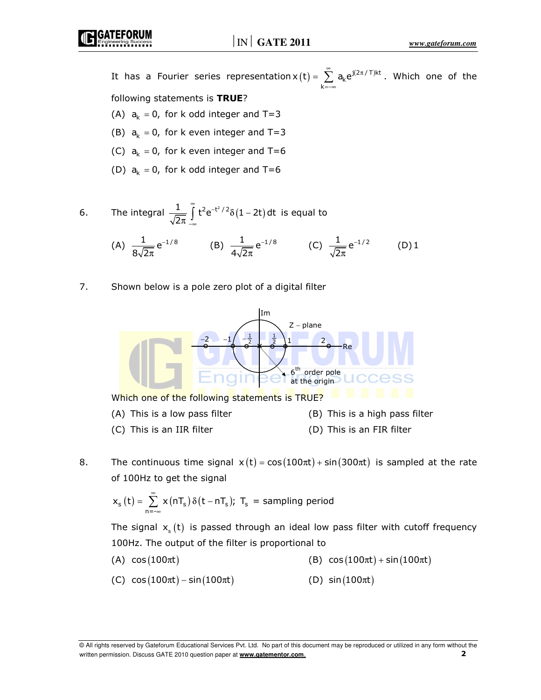It has a Fourier series representation  $x(t) = \sum_{k=-\infty}^{\infty} a_k e^{j(2\pi/T)kt}$  $x(t) = \sum a_k e^{j\theta}$  $\sum_{n=1}^{\infty}$   $\sigma$   $\int$   $(2\pi)$  $=\sum\limits_{k=-\infty}a_{k}e^{j(2\pi/\top)kt}$ . Which one of the following statements is TRUE?

2 π

- (A)  $a_k = 0$ , for k odd integer and T=3
- (B)  $a_k = 0$ , for k even integer and T=3
- (C)  $a_k = 0$ , for k even integer and T=6
- (D)  $a_k = 0$ , for k odd integer and T=6

6. The integral 
$$
\frac{1}{\sqrt{2\pi}} \int_{-\infty}^{\infty} t^2 e^{-t^2/2} \delta(1 - 2t) dt
$$
 is equal to  
\n(A)  $\frac{1}{\sqrt{2\pi}} e^{-1/8}$  (B)  $\frac{1}{\sqrt{2\pi}} e^{-1/8}$  (C)  $\frac{1}{\sqrt{2\pi}} e^{-1/2}$  (D) 1

4 $\sqrt{2\pi}$ 

7. Shown below is a pole zero plot of a digital filter

8√2π

π



8. The continuous time signal  $x(t) = cos(100\pi t) + sin(300\pi t)$  is sampled at the rate of 100Hz to get the signal

$$
x_s(t) = \sum_{n=-\infty}^{\infty} x(nT_s) \delta(t - nT_s); T_s = sampling period
$$

The signal  $x<sub>s</sub>$  (t) is passed through an ideal low pass filter with cutoff frequency 100Hz. The output of the filter is proportional to

- (A)  $cos(100\pi t)$  (B)  $cos(100\pi t) + sin(100\pi t)$
- (C)  $cos(100\pi t) sin(100\pi t)$  (D)  $sin(100\pi t)$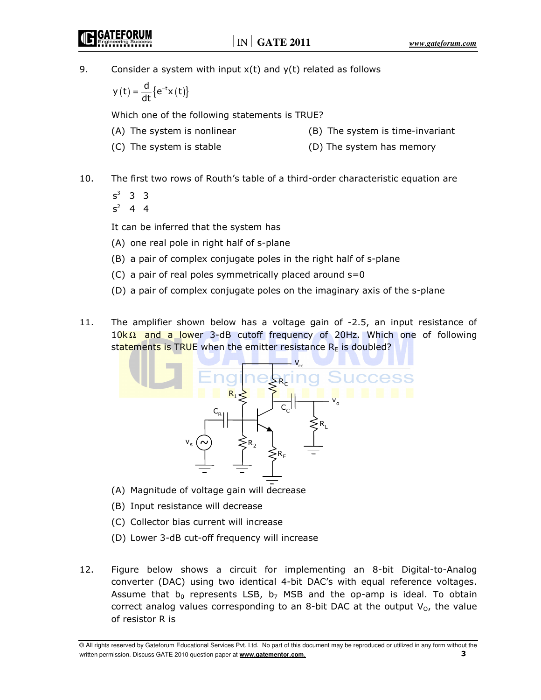9. Consider a system with input  $x(t)$  and  $y(t)$  related as follows

 $y(t) = \frac{d}{dt} \{e^{-t}x(t)\}\$  $=\frac{u}{u}\{e^{-t}x(t)\}\$ 

Which one of the following statements is TRUE?

- 
- (A) The system is nonlinear (B) The system is time-invariant
- 
- (C) The system is stable (D) The system has memory
- 10. The first two rows of Routh's table of a third-order characteristic equation are
	- $s^3$  3 3
	- $s^2$  4 4

It can be inferred that the system has

- (A) one real pole in right half of s-plane
- (B) a pair of complex conjugate poles in the right half of s-plane
- (C) a pair of real poles symmetrically placed around  $s=0$
- (D) a pair of complex conjugate poles on the imaginary axis of the s-plane
- 11. The amplifier shown below has a voltage gain of -2.5, an input resistance of 10kΩ and a lower 3-dB cutoff frequency of 20Hz. Which one of following statements is TRUE when the emitter resistance  $R<sub>E</sub>$  is doubled?



- (A) Magnitude of voltage gain will decrease
- (B) Input resistance will decrease
- (C) Collector bias current will increase
- (D) Lower 3-dB cut-off frequency will increase
- 12. Figure below shows a circuit for implementing an 8-bit Digital-to-Analog converter (DAC) using two identical 4-bit DAC's with equal reference voltages. Assume that  $b_0$  represents LSB,  $b_7$  MSB and the op-amp is ideal. To obtain correct analog values corresponding to an 8-bit DAC at the output  $V_0$ , the value of resistor R is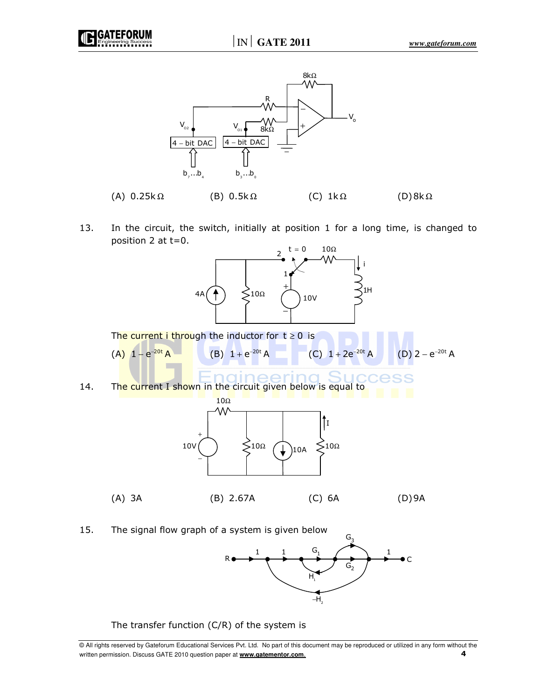



13. In the circuit, the switch, initially at position 1 for a long time, is changed to position 2 at t=0.



R<del>o > + + + + + + + +</del> + C  $\mathsf{G}_1$  $G<sub>2</sub>$  $H_{\!\scriptscriptstyle 1}^{\vphantom{\dagger}}$ –H<sub>2</sub>  $1 \t 1 \t 1 \t 1 \t 1$ 

The transfer function (C/R) of the system is

<sup>©</sup> All rights reserved by Gateforum Educational Services Pvt. Ltd. No part of this document may be reproduced or utilized in any form without the written permission. Discuss GATE 2010 question paper at **www.gatementor.com**.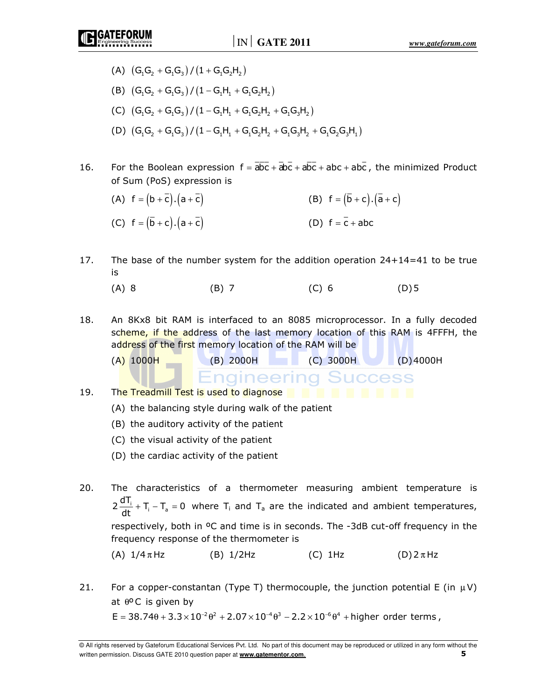- - (A)  $(G_1G_2 + G_1G_3)/(1 + G_1G_2H_2)$
	- (B)  $(G_1G_2 + G_1G_3)/(1 G_1H_1 + G_1G_2H_2)$
	- (C)  $(G_1G_2 + G_1G_3)/(1 G_1H_1 + G_1G_2H_2 + G_1G_3H_2)$
	- (D)  $(G_1G_2 + G_1G_3)/(1 G_1H_1 + G_1G_2H_2 + G_1G_3H_2 + G_1G_2G_3H_1)$
- 16. For the Boolean expression  $f = \overline{abc} + \overline{abc} + \overline{abc} + abc + abc$ , the minimized Product of Sum (PoS) expression is
	- (A)  $f = (b + \overline{c}) \cdot (a + \overline{c})$  (B)  $f = (\overline{b} + c) \cdot (\overline{a} + c)$ (C)  $f = (\bar{b} + c) \cdot (a + \bar{c})$  (D)  $f = \bar{c} + abc$
- 17. The base of the number system for the addition operation 24+14=41 to be true is
- (A) 8 (B) 7 (C) 6 (D) 5
- 18. An 8Kx8 bit RAM is interfaced to an 8085 microprocessor. In a fully decoded scheme, if the address of the last memory location of this RAM is 4FFFH, the address of the first memory location of the RAM will be

(A) 1000H (B) 2000H (C) 3000H (D) 4000H

**Engineering Success** 

19. The Treadmill Test is used to diagnose **the state of the state of the state of the state of the state of the state of the state of the state of the state of the state of the state of the state of the state of the state** 

- (A) the balancing style during walk of the patient
- (B) the auditory activity of the patient
- (C) the visual activity of the patient
- (D) the cardiac activity of the patient
- 20. The characteristics of a thermometer measuring ambient temperature is  $2 \frac{d T_i}{dt} + T_i - T_a = 0$  where  $T_i$  and  $T_a$  are the indicated and ambient temperatures, respectively, both in ºC and time is in seconds. The -3dB cut-off frequency in the frequency response of the thermometer is (A)  $1/4 \pi$ Hz (B)  $1/2$ Hz (C)  $1$ Hz (D)  $2 \pi$ Hz
- 21. For a copper-constantan (Type T) thermocouple, the junction potential E (in  $\mu$ V) at  $\theta$ <sup>o</sup>C is given by  $E = 38.74\theta + 3.3 \times 10^{-2} \theta^2 + 2.07 \times 10^{-4} \theta^3 - 2.2 \times 10^{-6} \theta^4$  + higher order terms .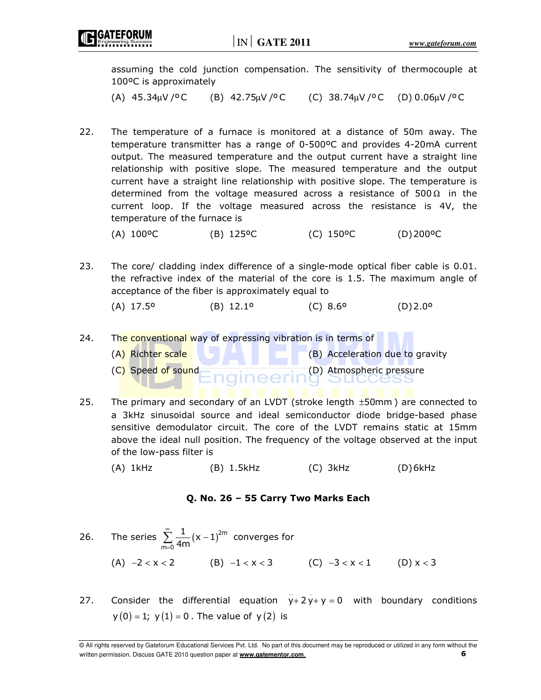assuming the cold junction compensation. The sensitivity of thermocouple at 100ºC is approximately

(A)  $45.34 \mu V / ^{o}C$  (B)  $42.75 \mu V / ^{o}C$  (C)  $38.74 \mu V / ^{o}C$  (D)  $0.06 \mu V / ^{o}C$ 

22. The temperature of a furnace is monitored at a distance of 50m away. The temperature transmitter has a range of 0-500ºC and provides 4-20mA current output. The measured temperature and the output current have a straight line relationship with positive slope. The measured temperature and the output current have a straight line relationship with positive slope. The temperature is determined from the voltage measured across a resistance of 500 $\Omega$  in the current loop. If the voltage measured across the resistance is 4V, the temperature of the furnace is

(A) 100ºC (B) 125ºC (C) 150ºC (D) 200ºC

- 23. The core/ cladding index difference of a single-mode optical fiber cable is 0.01. the refractive index of the material of the core is 1.5. The maximum angle of acceptance of the fiber is approximately equal to
	- (A) 17.5º (B) 12.1º (C) 8.6º (D) 2.0º
- 24. The conventional way of expressing vibration is in terms of
	- $(A)$  Richter scale (B) Acceleration due to gravity
	- (C) Speed of sound (D) Atmospheric pressure
- 25. The primary and secondary of an LVDT (stroke length ±50mm ) are connected to a 3kHz sinusoidal source and ideal semiconductor diode bridge-based phase sensitive demodulator circuit. The core of the LVDT remains static at 15mm above the ideal null position. The frequency of the voltage observed at the input of the low-pass filter is
	- (A) 1kHz (B) 1.5kHz (C) 3kHz (D) 6kHz

#### Q. No. 26 – 55 Carry Two Marks Each

- 26. The series  $\sum_{n=1}^{\infty} \frac{1}{4n^2} (x-1)^{2m}$ m=0  $\frac{1}{4m}(x-1)$ ∞  $\sum_{n=0}^{\infty} \frac{1}{4m} (x-1)^{2m}$  converges for (A)  $-2 < x < 2$  (B)  $-1 < x < 3$  (C)  $-3 < x < 1$  (D)  $x < 3$
- 27. Consider the differential equation  $y+2y+y=0$  with boundary conditions  $y(0) = 1$ ;  $y(1) = 0$ . The value of  $y(2)$  is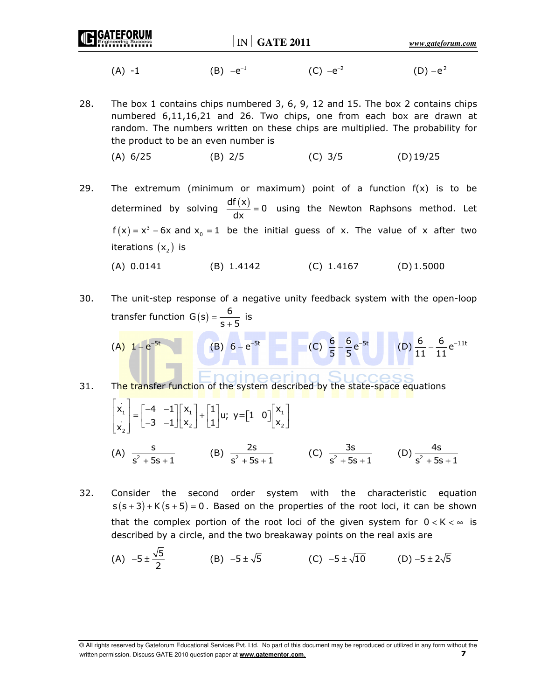| <b>IC GATEFORUM</b> | IN                | <b>GATE 2011</b> | www.gateforum.com |
|---------------------|-------------------|------------------|-------------------|
| A.<br>-             | $ \rho^{-1}$<br>◡ |                  |                   |

28. The box 1 contains chips numbered 3, 6, 9, 12 and 15. The box 2 contains chips numbered 6,11,16,21 and 26. Two chips, one from each box are drawn at random. The numbers written on these chips are multiplied. The probability for the product to be an even number is

(A) 6/25 (B) 2/5 (C) 3/5 (D) 19/25

29. The extremum (minimum or maximum) point of a function  $f(x)$  is to be determined by solving  $\frac{df(x)}{dx} = 0$  using the Newton Raphsons method. Let  $f(x) = x^3 - 6x$  and  $x_0 = 1$  be the initial guess of x. The value of x after two iterations  $(x_2)$  is

(A) 0.0141 (B) 1.4142 (C) 1.4167 (D) 1.5000

- 30. The unit-step response of a negative unity feedback system with the open-loop transfer function  $G(s) = \frac{6}{s+5}$  $=\frac{6}{s+5}$  is
- $(A) 1 + e^{-5t}$  $-e^{-5t}$  (B)  $6-e^{-5t}$  (C)  $\frac{6}{5} - \frac{6}{5}e^{-5t}$  $-\frac{6}{5}e^{-5t}$  (D)  $\frac{6}{11} - \frac{6}{11}e^{-11t}$  $-\frac{6}{11}e^{-}$ 31. The transfer function of the system described by the state-space equations
- . 1 1 1  $\mathbf{x}_1 = \begin{bmatrix} -4 & -1 \\ 2 & 1 \end{bmatrix} \mathbf{x}_1 + \begin{bmatrix} 1 \\ 2 \end{bmatrix} \mathbf{u}$ ; y=[1 0]  $\mathbf{x}_1$  $\begin{bmatrix} x_1 \\ x_2 \end{bmatrix} = \begin{bmatrix} -4 & -1 \\ -3 & -1 \end{bmatrix} \begin{bmatrix} x_1 \\ x_2 \end{bmatrix} + \begin{bmatrix} 1 \\ 1 \end{bmatrix}$ u; y= $\begin{bmatrix} 1 & 0 \end{bmatrix} \begin{bmatrix} x_1 \\ x_2 \end{bmatrix}$

 $\begin{bmatrix} 2 & -3 & -1 \end{bmatrix}$   $\begin{bmatrix} x_2 & 1 \end{bmatrix}$   $\begin{bmatrix} 1 \end{bmatrix}$   $\begin{bmatrix} 1 & 2 \end{bmatrix}$   $\begin{bmatrix} 2 & 2 \end{bmatrix}$ 

2

- (A)  $\frac{S}{S^2 + 5}$  $\frac{S}{S^2 + 5S + 1}$  (B)  $\frac{2S}{S^2 + 5S}$  $\frac{2s}{s^2 + 5s + 1}$  (C)  $\frac{3s}{s^2 + 5s}$  $rac{3s}{s^2 + 5s + 1}$  (D)  $rac{4s}{s^2 + 5s}$  $s^2 + 5s + 1$
- 32. Consider the second order system with the characteristic equation  $s(s + 3) + K(s + 5) = 0$ . Based on the properties of the root loci, it can be shown that the complex portion of the root loci of the given system for  $0 < K < \infty$  is described by a circle, and the two breakaway points on the real axis are

(A) 
$$
-5 \pm \frac{\sqrt{5}}{2}
$$
 (B)  $-5 \pm \sqrt{5}$  (C)  $-5 \pm \sqrt{10}$  (D)  $-5 \pm 2\sqrt{5}$ 

<sup>©</sup> All rights reserved by Gateforum Educational Services Pvt. Ltd. No part of this document may be reproduced or utilized in any form without the written permission. Discuss GATE 2010 question paper at **www.gatementor.com**. 7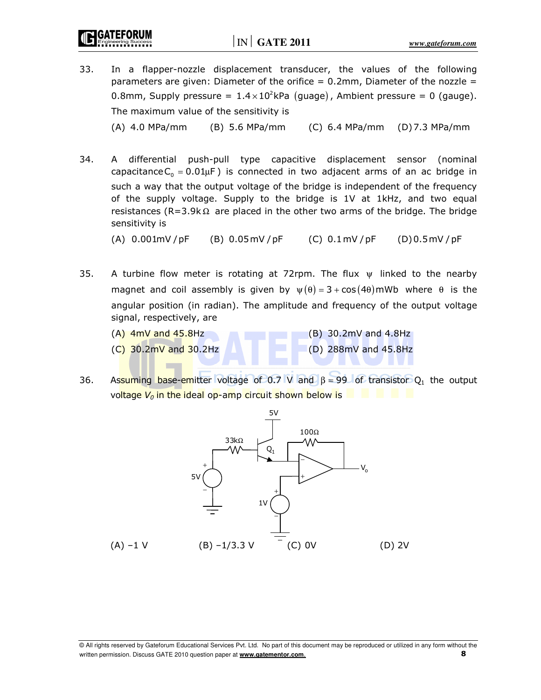- 33. In a flapper-nozzle displacement transducer, the values of the following parameters are given: Diameter of the orifice  $= 0.2$ mm, Diameter of the nozzle  $=$ 0.8mm, Supply pressure =  $1.4 \times 10^2$ kPa (guage), Ambient pressure = 0 (gauge). The maximum value of the sensitivity is (A) 4.0 MPa/mm (B) 5.6 MPa/mm (C) 6.4 MPa/mm (D) 7.3 MPa/mm
- 34. A differential push-pull type capacitive displacement sensor (nominal capacitance  $C_{_0}$  = 0.01 $\mu$ F) is connected in two adjacent arms of an ac bridge in such a way that the output voltage of the bridge is independent of the frequency of the supply voltage. Supply to the bridge is 1V at 1kHz, and two equal resistances (R=3.9k $\Omega$  are placed in the other two arms of the bridge. The bridge sensitivity is

(A)  $0.001$ mV / pF (B)  $0.05$ mV / pF (C)  $0.1$ mV / pF (D)  $0.5$ mV / pF

- 35. A turbine flow meter is rotating at 72rpm. The flux  $\psi$  linked to the nearby magnet and coil assembly is given by  $\psi(\theta) = 3 + \cos(4\theta)$  mWb where  $\theta$  is the angular position (in radian). The amplitude and frequency of the output voltage signal, respectively, are
	- $(A)$  4mV and 45.8Hz (B) 30.2mV and 4.8Hz
	-

 $(C)$  30.2mV and 30.2Hz (D) 288mV and 45.8Hz

36. Assuming base-emitter voltage of 0.7 V and  $\beta = 99$  of transistor O<sub>1</sub> the output voltage  $V_0$  in the ideal op-amp circuit shown below is  $\Box$ 

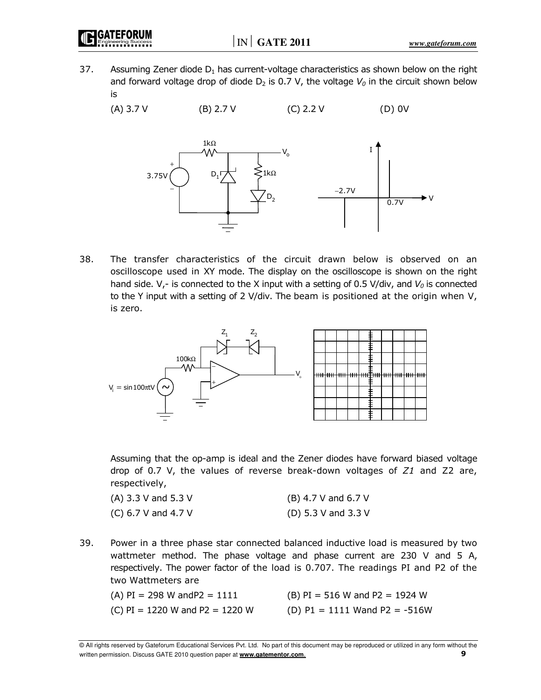37. Assuming Zener diode  $D_1$  has current-voltage characteristics as shown below on the right and forward voltage drop of diode  $D_2$  is 0.7 V, the voltage  $V_0$  in the circuit shown below is

(A) 3.7 V (B) 2.7 V (C) 2.2 V (D) 0V



38. The transfer characteristics of the circuit drawn below is observed on an oscilloscope used in XY mode. The display on the oscilloscope is shown on the right hand side.  $V_r$  is connected to the X input with a setting of 0.5 V/div, and  $V_0$  is connected to the Y input with a setting of 2 V/div. The beam is positioned at the origin when V, is zero.



 Assuming that the op-amp is ideal and the Zener diodes have forward biased voltage drop of 0.7 V, the values of reverse break-down voltages of  $Z1$  and  $Z2$  are, respectively,

| $(A)$ 3.3 V and 5.3 V | $(B)$ 4.7 V and 6.7 V |
|-----------------------|-----------------------|
| $(C)$ 6.7 V and 4.7 V | (D) 5.3 V and 3.3 V   |

39. Power in a three phase star connected balanced inductive load is measured by two wattmeter method. The phase voltage and phase current are 230 V and 5 A, respectively. The power factor of the load is 0.707. The readings PI and P2 of the two Wattmeters are

- 
- (A)  $PI = 298$  W and  $PI = 1111$  (B)  $PI = 516$  W and  $PI = 1924$  W
- (C) PI = 1220 W and P2 = 1220 W (D) P1 = 1111 Wand P2 = -516W

<sup>©</sup> All rights reserved by Gateforum Educational Services Pvt. Ltd. No part of this document may be reproduced or utilized in any form without the written permission. Discuss GATE 2010 question paper at **www.gatementor.com.** 9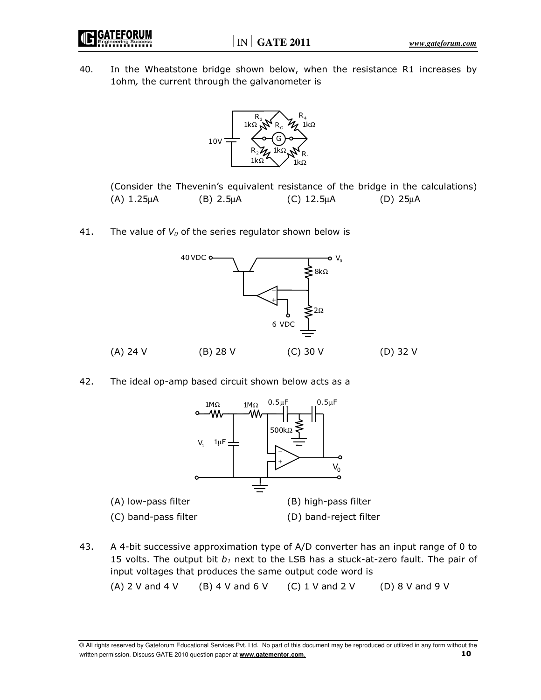IN **GATE 2011** *www.gateforum.com*



40. In the Wheatstone bridge shown below, when the resistance R1 increases by 1ohm, the current through the galvanometer is



 (Consider the Thevenin's equivalent resistance of the bridge in the calculations)  $(A) 1.25 \mu A$  (B)  $2.5 \mu A$  (C)  $12.5 \mu A$  (D)  $25 \mu A$ 

41. The value of  $V_0$  of the series regulator shown below is



42. The ideal op-amp based circuit shown below acts as a



43. A 4-bit successive approximation type of A/D converter has an input range of 0 to 15 volts. The output bit  $b_1$  next to the LSB has a stuck-at-zero fault. The pair of input voltages that produces the same output code word is (A) 2 V and 4 V (B) 4 V and 6 V (C) 1 V and 2 V (D) 8 V and 9 V

<sup>©</sup> All rights reserved by Gateforum Educational Services Pvt. Ltd. No part of this document may be reproduced or utilized in any form without the written permission. Discuss GATE 2010 question paper at **www.gatementor.com.** 10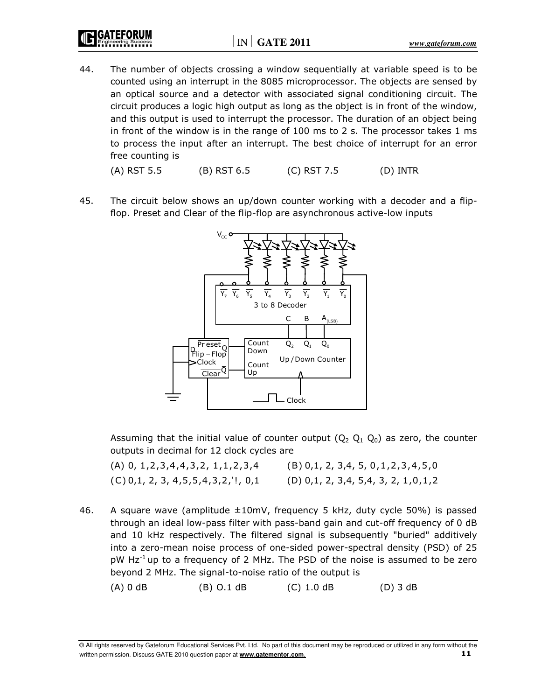44. The number of objects crossing a window sequentially at variable speed is to be counted using an interrupt in the 8085 microprocessor. The objects are sensed by an optical source and a detector with associated signal conditioning circuit. The circuit produces a logic high output as long as the object is in front of the window, and this output is used to interrupt the processor. The duration of an object being in front of the window is in the range of 100 ms to 2 s. The processor takes 1 ms to process the input after an interrupt. The best choice of interrupt for an error free counting is

(A) RST 5.5 (B) RST 6.5 (C) RST 7.5 (D) INTR

45. The circuit below shows an up/down counter working with a decoder and a flipflop. Preset and Clear of the flip-flop are asynchronous active-low inputs



Assuming that the initial value of counter output  $(Q_2 Q_1 Q_0)$  as zero, the counter outputs in decimal for 12 clock cycles are

 (A) 0, 1,2,3,4,4,3,2, 1,1,2,3,4 (B) 0,1, 2, 3,4, 5, 0,1,2,3 ,4,5,0  $(C)$  0,1, 2, 3, 4, 5, 5, 4, 3, 2,  $'$ !, 0, 1 (D) 0, 1, 2, 3, 4, 5, 4, 3, 2, 1, 0, 1, 2

46. A square wave (amplitude ±10mV, frequency 5 kHz, duty cycle 50%) is passed through an ideal low-pass filter with pass-band gain and cut-off frequency of 0 dB and 10 kHz respectively. The filtered signal is subsequently "buried" additively into a zero-mean noise process of one-sided power-spectral density (PSD) of 25  $pW$  Hz<sup>-1</sup> up to a frequency of 2 MHz. The PSD of the noise is assumed to be zero beyond 2 MHz. The signal-to-noise ratio of the output is

(A) 0 dB (B) O.1 dB (C) 1.0 dB (D) 3 dB

<sup>©</sup> All rights reserved by Gateforum Educational Services Pvt. Ltd. No part of this document may be reproduced or utilized in any form without the written permission. Discuss GATE 2010 question paper at **www.gatementor.com.** 11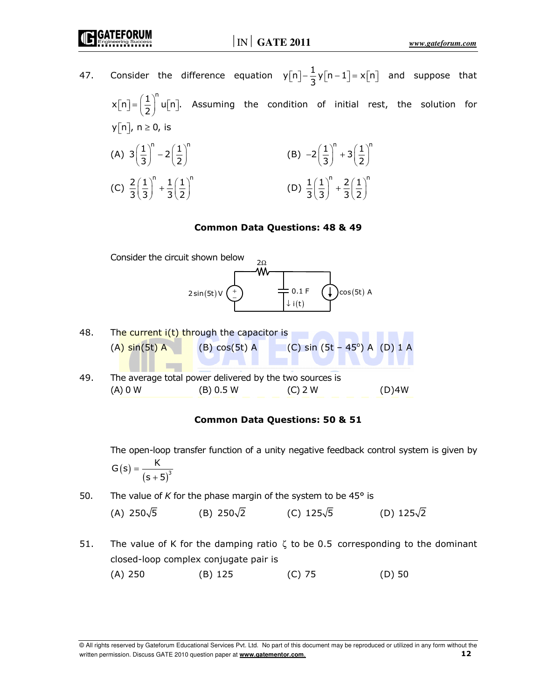47. Consider the difference equation  $y[n]-\frac{1}{3}y[n-1]=x[n]$  and suppose that  $x[n] = \left(\frac{1}{2}\right)^n u[n]$ . Assuming the condition of initial rest, the solution for  $y[n], n \ge 0$ , is (A)  $3\left(\frac{1}{3}\right)^n - 2\left(\frac{1}{2}\right)^n$  $\left(\frac{1}{3}\right)^{n}-2\left(\frac{1}{2}\right)^{n}$ (B)  $-2\left(\frac{1}{3}\right)^n + 3\left(\frac{1}{2}\right)^n$  $-2\left(\frac{1}{3}\right)^{n}+3\left(\frac{1}{2}\right)^{n}$ (C)  $\frac{2}{2} \left( \frac{1}{2} \right)^n + \frac{1}{2} \left( \frac{1}{2} \right)^n$  $3(3)$   $3(2)$  $\left(\frac{1}{3}\right)^{11} + \frac{1}{3}\left(\frac{1}{2}\right)^{11}$ (D)  $\frac{1}{2} \left( \frac{1}{2} \right)^n + \frac{2}{2} \left( \frac{1}{2} \right)^n$  $3(3) 3(2)$  $\left(\frac{1}{3}\right)^{11}+\frac{2}{3}\left(\frac{1}{2}\right)^{11}$ 

#### Common Data Questions: 48 & 49



49. The average total power delivered by the two sources is (A) 0 W (B) 0.5 W (C) 2 W (D)4W

#### Common Data Questions: 50 & 51

 The open-loop transfer function of a unity negative feedback control system is given by  $G(s) =$ K

$$
G(S) = \frac{1}{(s+5)^3}
$$

- 50. The value of K for the phase margin of the system to be  $45^{\circ}$  is (A) 250 $\sqrt{5}$  (B) 250 $\sqrt{2}$  (C) 125 $\sqrt{5}$  (D) 125 $\sqrt{2}$
- 51. The value of K for the damping ratio  $\zeta$  to be 0.5 corresponding to the dominant closed-loop complex conjugate pair is (A) 250 (B) 125 (C) 75 (D) 50

<sup>©</sup> All rights reserved by Gateforum Educational Services Pvt. Ltd. No part of this document may be reproduced or utilized in any form without the written permission. Discuss GATE 2010 question paper at **www.gatementor.com.** 12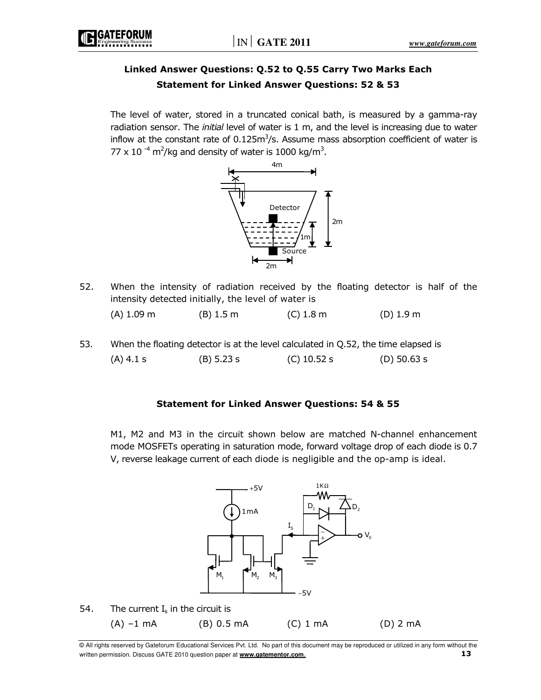# Linked Answer Questions: Q.52 to Q.55 Carry Two Marks Each Statement for Linked Answer Questions: 52 & 53

 The level of water, stored in a truncated conical bath, is measured by a gamma-ray radiation sensor. The *initial* level of water is 1 m, and the level is increasing due to water inflow at the constant rate of  $0.125m^3/s$ . Assume mass absorption coefficient of water is 77 x 10<sup>-4</sup> m<sup>2</sup>/kg and density of water is 1000 kg/m<sup>3</sup>.



52. When the intensity of radiation received by the floating detector is half of the intensity detected initially, the level of water is

|  | (A) 1.09 m | $(B)$ 1.5 m | $(C)$ 1.8 m | $(D)$ 1.9 m |
|--|------------|-------------|-------------|-------------|
|--|------------|-------------|-------------|-------------|

53. When the floating detector is at the level calculated in Q.52, the time elapsed is (A) 4.1 s (B) 5.23 s (C) 10.52 s (D) 50.63 s

# Statement for Linked Answer Questions: 54 & 55

 M1, M2 and M3 in the circuit shown below are matched N-channel enhancement mode MOSFETs operating in saturation mode, forward voltage drop of each diode is 0.7 V, reverse leakage current of each diode is negligible and the op-amp is ideal.

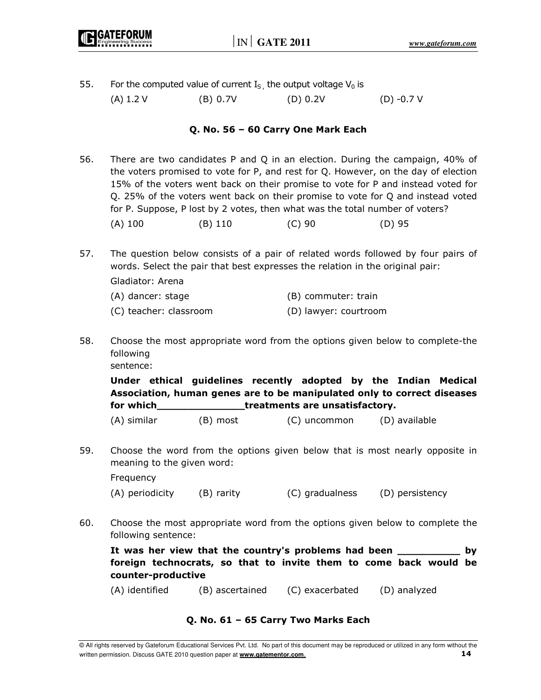- 55. For the computed value of current  $I_S$ , the output voltage  $V_0$  is
	- (A)  $1.2$  V (B)  $0.7$ V (D)  $0.2$ V (D)  $-0.7$  V

# Q. No. 56 – 60 Carry One Mark Each

- 56. There are two candidates P and Q in an election. During the campaign, 40% of the voters promised to vote for P, and rest for Q. However, on the day of election 15% of the voters went back on their promise to vote for P and instead voted for Q. 25% of the voters went back on their promise to vote for Q and instead voted for P. Suppose, P lost by 2 votes, then what was the total number of voters? (A) 100 (B) 110 (C) 90 (D) 95
- 57. The question below consists of a pair of related words followed by four pairs of words. Select the pair that best expresses the relation in the original pair:

Gladiator: Arena

| (A) dancer: stage      | (B) commuter: train   |
|------------------------|-----------------------|
| (C) teacher: classroom | (D) lawyer: courtroom |

58. Choose the most appropriate word from the options given below to complete-the following sentence:

 Under ethical guidelines recently adopted by the Indian Medical Association, human genes are to be manipulated only to correct diseases for which\_\_\_\_\_\_\_\_\_\_\_\_\_\_treatments are unsatisfactory.

| (A) similar | (B) most | (C) uncommon | (D) available |
|-------------|----------|--------------|---------------|

59. Choose the word from the options given below that is most nearly opposite in meaning to the given word:

Frequency

(A) periodicity (B) rarity (C) gradualness (D) persistency

60. Choose the most appropriate word from the options given below to complete the following sentence:

It was her view that the country's problems had been \_\_\_\_\_\_\_\_\_\_ by foreign technocrats, so that to invite them to come back would be counter-productive

(A) identified (B) ascertained (C) exacerbated (D) analyzed

# Q. No. 61 – 65 Carry Two Marks Each

<sup>©</sup> All rights reserved by Gateforum Educational Services Pvt. Ltd. No part of this document may be reproduced or utilized in any form without the written permission. Discuss GATE 2010 question paper at **www.gatementor.com.** 14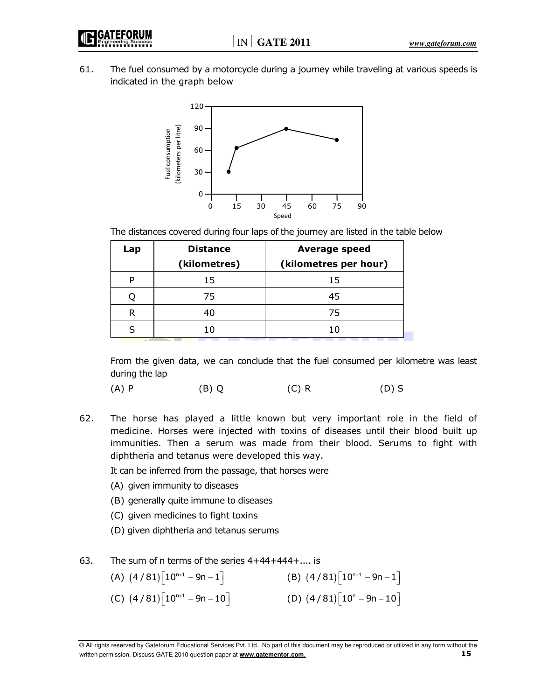

61. The fuel consumed by a motorcycle during a journey while traveling at various speeds is indicated in the graph below



The distances covered during four laps of the journey are listed in the table below

| Lap | <b>Distance</b> | <b>Average speed</b>  |
|-----|-----------------|-----------------------|
|     | (kilometres)    | (kilometres per hour) |
|     | 15              | 15                    |
|     | 75              | 45                    |
| R   | 40              | 75                    |
|     |                 |                       |

 From the given data, we can conclude that the fuel consumed per kilometre was least during the lap

(A) P (B) Q (C) R (D) S

62. The horse has played a little known but very important role in the field of medicine. Horses were injected with toxins of diseases until their blood built up immunities. Then a serum was made from their blood. Serums to fight with diphtheria and tetanus were developed this way.

It can be inferred from the passage, that horses were

- (A) given immunity to diseases
- (B) generally quite immune to diseases
- (C) given medicines to fight toxins
- (D) given diphtheria and tetanus serums
- 63. The sum of n terms of the series 4+44+444+.... is
- (A)  $(4/81) [10^{n+1} 9n 1]$  (B)  $(4/81)$  $(4/81) [10^{n-1} - 9n - 1]$  $(C)$   $(4/81)$  $[10^{n+1} - 9n - 10]$  (D)  $(4/81)$ (D)  $(4 / 81)$  $\left\lceil 10^n - 9n - 10 \right\rceil$

<sup>©</sup> All rights reserved by Gateforum Educational Services Pvt. Ltd. No part of this document may be reproduced or utilized in any form without the written permission. Discuss GATE 2010 question paper at **www.gatementor.com.** 15